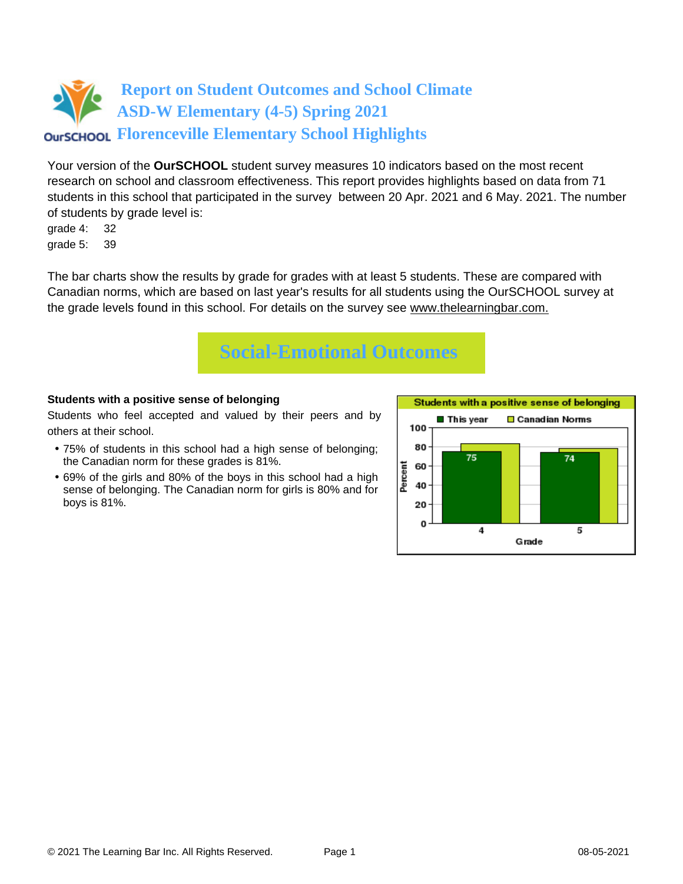# **Report on Student Outcomes and School Climate ASD-W Elementary (4-5) Spring 2021 Florenceville Elementary School Highlights**

Your version of the **OurSCHOOL** student survey measures 10 indicators based on the most recent research on school and classroom effectiveness. This report provides highlights based on data from 71 students in this school that participated in the survey between 20 Apr. 2021 and 6 May. 2021. The number of students by grade level is:

grade 4: 32 grade 5: 39

The bar charts show the results by grade for grades with at least 5 students. These are compared with Canadian norms, which are based on last year's results for all students using the OurSCHOOL survey at the grade levels found in this school. For details on the survey see [www.thelearningbar.com.](www.thelearningbar.com)



### **Students with a positive sense of belonging**

Students who feel accepted and valued by their peers and by others at their school.

- 75% of students in this school had a high sense of belonging; the Canadian norm for these grades is 81%.
- 69% of the girls and 80% of the boys in this school had a high sense of belonging. The Canadian norm for girls is 80% and for boys is 81%.

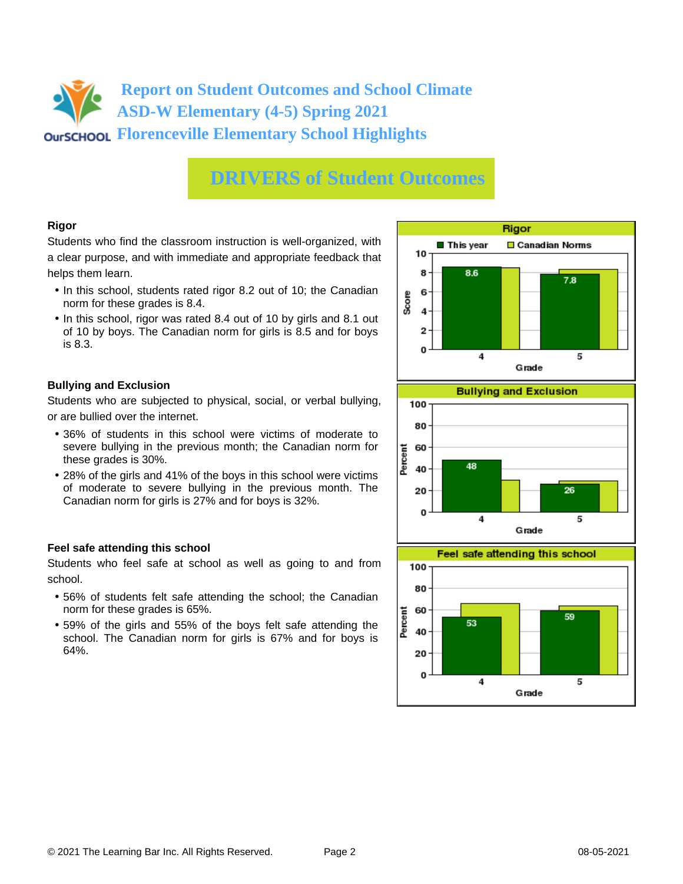## **Report on Student Outcomes and School Climate ASD-W Elementary (4-5) Spring 2021 Florenceville Elementary School Highlights**

## **DRIVERS of Student Outcomes**

### **Rigor**

Students who find the classroom instruction is well-organized, with a clear purpose, and with immediate and appropriate feedback that helps them learn.

- In this school, students rated rigor 8.2 out of 10; the Canadian norm for these grades is 8.4.
- In this school, rigor was rated 8.4 out of 10 by girls and 8.1 out of 10 by boys. The Canadian norm for girls is 8.5 and for boys is 8.3.

### **Bullying and Exclusion**

Students who are subjected to physical, social, or verbal bullying, or are bullied over the internet.

- 36% of students in this school were victims of moderate to severe bullying in the previous month; the Canadian norm for these grades is 30%.
- 28% of the girls and 41% of the boys in this school were victims of moderate to severe bullying in the previous month. The Canadian norm for girls is 27% and for boys is 32%.

### **Feel safe attending this school**

Students who feel safe at school as well as going to and from school.

- 56% of students felt safe attending the school; the Canadian norm for these grades is 65%.
- 59% of the girls and 55% of the boys felt safe attending the school. The Canadian norm for girls is 67% and for boys is 64%.





 $\overline{\bf{4}}$ 

5

0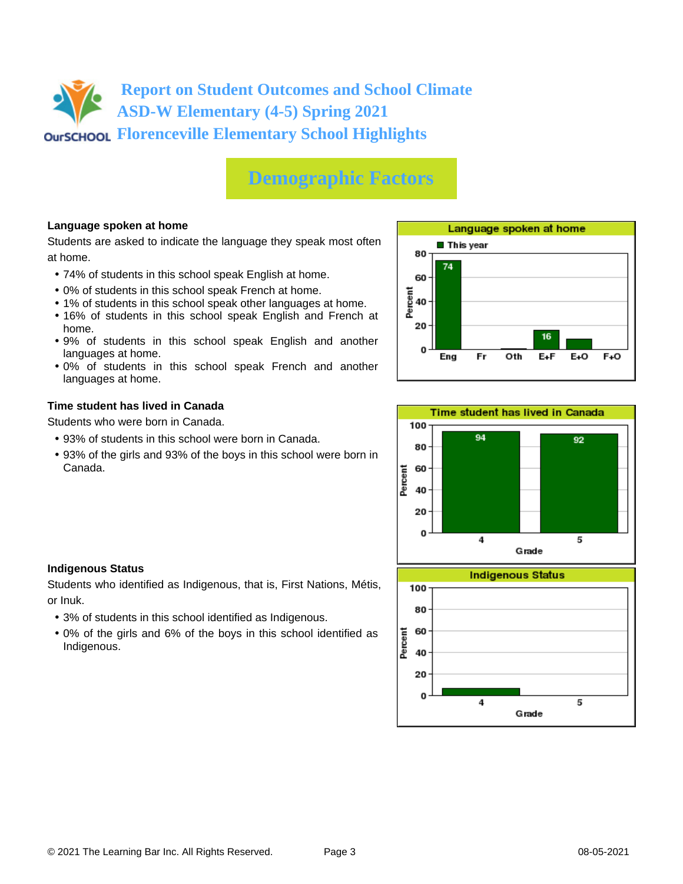**Report on Student Outcomes and School Climate ASD-W Elementary (4-5) Spring 2021 Florenceville Elementary School Highlights**

# **Demographic Factors**

### **Language spoken at home**

Students are asked to indicate the language they speak most often at home.

- 74% of students in this school speak English at home.
- 0% of students in this school speak French at home.
- 1% of students in this school speak other languages at home.
- 16% of students in this school speak English and French at home.
- 9% of students in this school speak English and another languages at home.
- 0% of students in this school speak French and another languages at home.

#### **Time student has lived in Canada**

Students who were born in Canada.

- 93% of students in this school were born in Canada.
- 93% of the girls and 93% of the boys in this school were born in Canada.





#### **Indigenous Status**

Students who identified as Indigenous, that is, First Nations, Métis, or Inuk.

- 3% of students in this school identified as Indigenous.
- 0% of the girls and 6% of the boys in this school identified as Indigenous.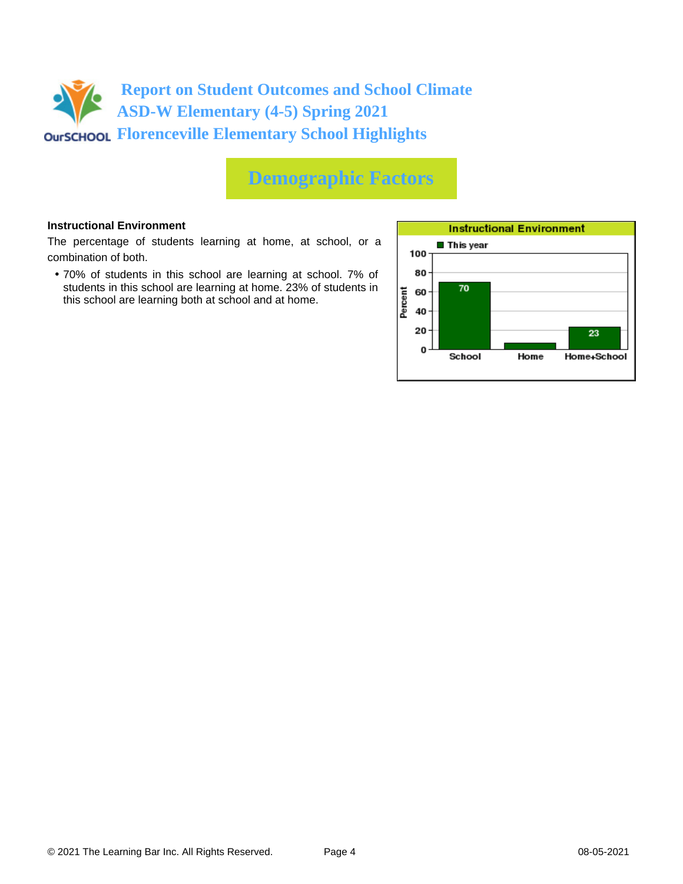

## **Demographic Factors**

#### **Instructional Environment**

The percentage of students learning at home, at school, or a combination of both.

• 70% of students in this school are learning at school. 7% of students in this school are learning at home. 23% of students in this school are learning both at school and at home.

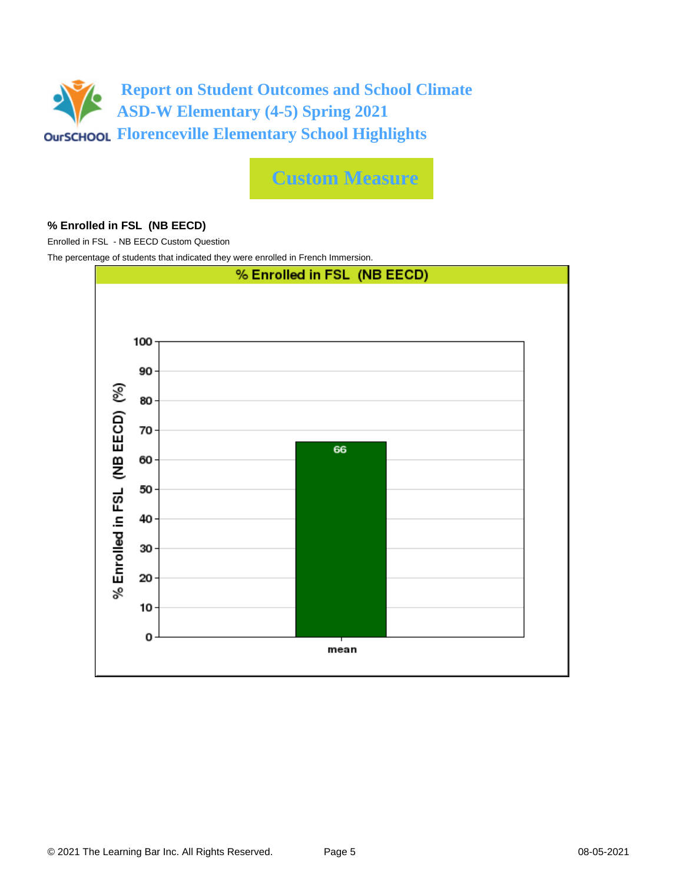

**Custom Measure**

#### **% Enrolled in FSL (NB EECD)**

Enrolled in FSL - NB EECD Custom Question

The percentage of students that indicated they were enrolled in French Immersion.

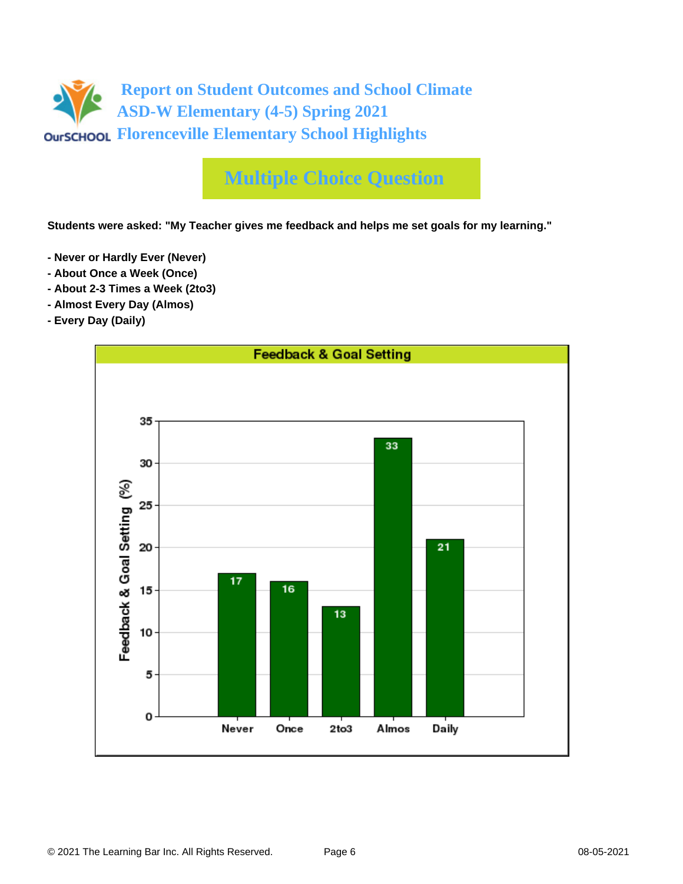

# **Multiple Choice Question**

**Students were asked: "My Teacher gives me feedback and helps me set goals for my learning."**

- **Never or Hardly Ever (Never)**
- **About Once a Week (Once)**
- **About 2-3 Times a Week (2to3)**
- **Almost Every Day (Almos)**
- **Every Day (Daily)**